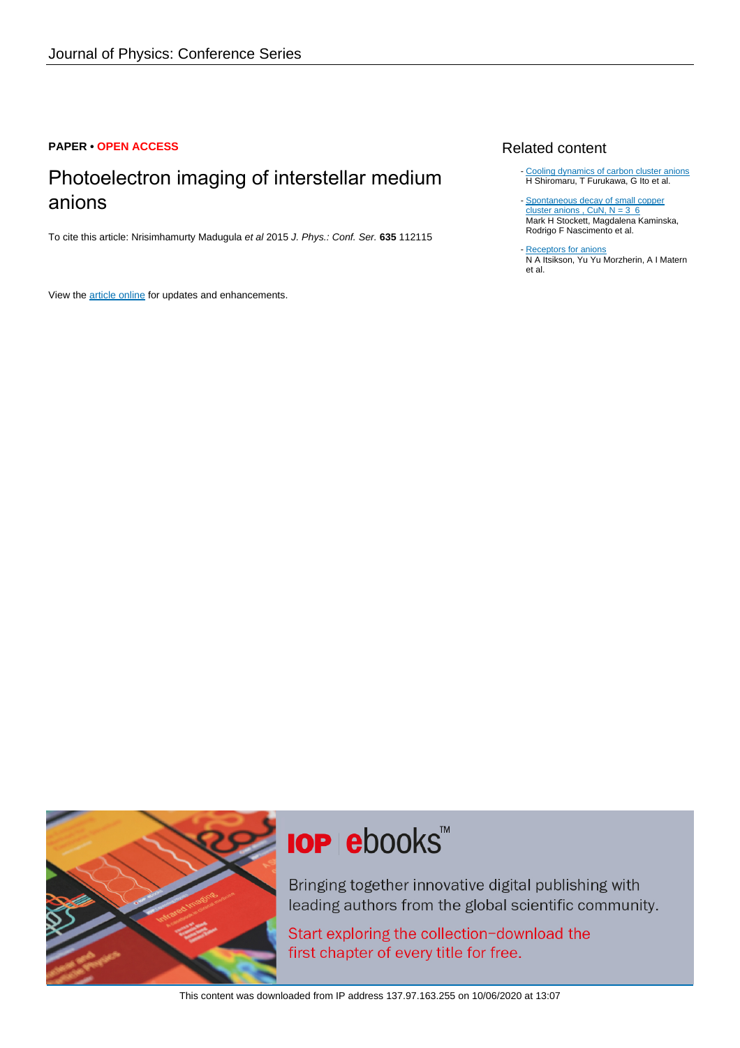### **PAPER • OPEN ACCESS**

## Photoelectron imaging of interstellar medium anions

To cite this article: Nrisimhamurty Madugula et al 2015 J. Phys.: Conf. Ser. **635** 112115

View the [article online](https://doi.org/10.1088/1742-6596/635/11/112115) for updates and enhancements.

### Related content

- [Cooling dynamics of carbon cluster anions](http://iopscience.iop.org/article/10.1088/1742-6596/635/1/012035) H Shiromaru, T Furukawa, G Ito et al.
- [Spontaneous decay of small copper](http://iopscience.iop.org/article/10.1088/1742-6596/635/7/072090) cluster anions , CuN,  $N = 3$  6 Mark H Stockett, Magdalena Kaminska, Rodrigo F Nascimento et al.
- [Receptors for anions](http://iopscience.iop.org/article/10.1070/RC2008v077n09ABEH003762) N A Itsikson, Yu Yu Morzherin, A I Matern et al. -



# **IOP ebooks**™

Bringing together innovative digital publishing with leading authors from the global scientific community.

Start exploring the collection-download the first chapter of every title for free.